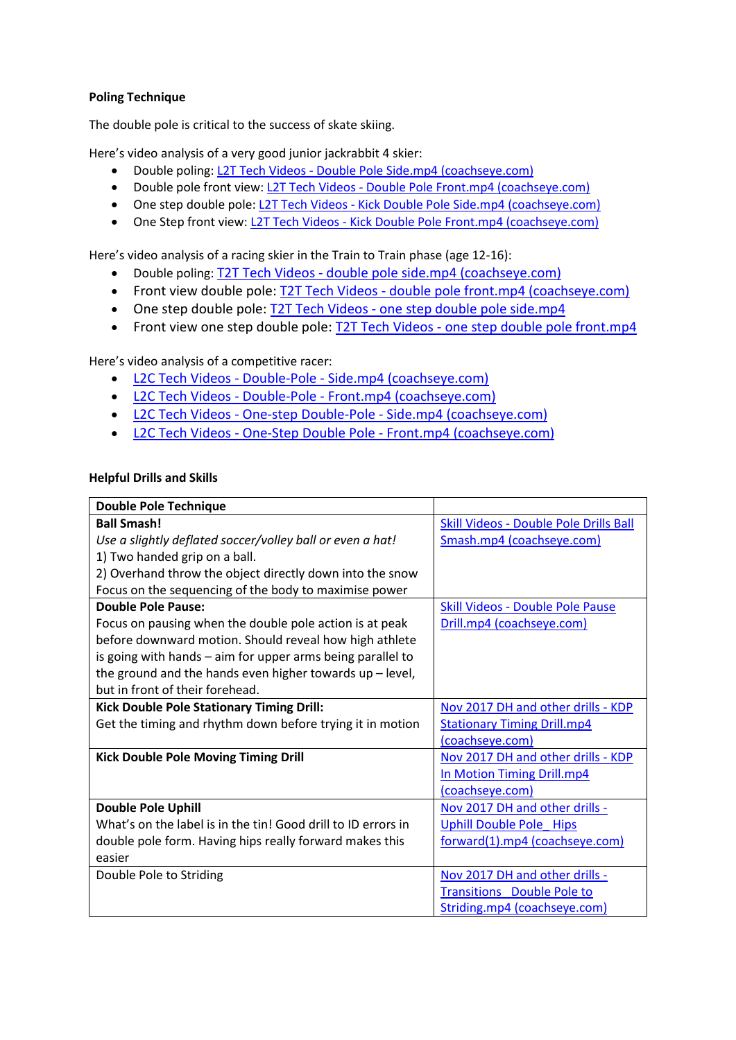## **Poling Technique**

The double pole is critical to the success of skate skiing.

Here's video analysis of a very good junior jackrabbit 4 skier:

- Double poling: L2T Tech Videos [Double Pole Side.mp4 \(coachseye.com\)](https://www.coachseye.com/t/16aa90f0b01c4e20a4fee29007704328)
- Double pole front view: L2T Tech Videos [Double Pole Front.mp4 \(coachseye.com\)](https://www.coachseye.com/t/wYiH)
- One step double pole: L2T Tech Videos [Kick Double Pole Side.mp4 \(coachseye.com\)](https://www.coachseye.com/t/222cd93742104021a619d8958e5d8062)
- One Step front view: L2T Tech Videos [Kick Double Pole Front.mp4 \(coachseye.com\)](https://www.coachseye.com/t/DrGE)

Here's video analysis of a racing skier in the Train to Train phase (age 12-16):

- Double poling: T2T Tech Videos [double pole side.mp4 \(coachseye.com\)](https://www.coachseye.com/t/83be5320c8be4499a938abda9830dc59)
- Front view double pole: T2T Tech Videos [double pole front.mp4 \(coachseye.com\)](https://www.coachseye.com/t/TSOc)
- One step double pole: T2T Tech Videos [one step double pole side.mp4](https://www.coachseye.com/t/9785d2e969d1467fa1380ee92827fdb4)
- Front view one step double pole: T2T Tech Videos one step double pole front.mp4

Here's video analysis of a competitive racer:

- L2C Tech Videos Double-Pole [Side.mp4 \(coachseye.com\)](https://www.coachseye.com/t/T4WZ)
- L2C Tech Videos Double-Pole [Front.mp4 \(coachseye.com\)](https://www.coachseye.com/t/VMJ5)
- L2C Tech Videos One-step Double-Pole [Side.mp4 \(coachseye.com\)](https://www.coachseye.com/t/h0Vy)
- L2C Tech Videos One-Step Double Pole [Front.mp4 \(coachseye.com\)](https://www.coachseye.com/t/8Ukh)

#### **Helpful Drills and Skills**

| <b>Double Pole Technique</b>                                  |                                               |
|---------------------------------------------------------------|-----------------------------------------------|
| <b>Ball Smash!</b>                                            | <b>Skill Videos - Double Pole Drills Ball</b> |
| Use a slightly deflated soccer/volley ball or even a hat!     | Smash.mp4 (coachseye.com)                     |
| 1) Two handed grip on a ball.                                 |                                               |
| 2) Overhand throw the object directly down into the snow      |                                               |
| Focus on the sequencing of the body to maximise power         |                                               |
| <b>Double Pole Pause:</b>                                     | <b>Skill Videos - Double Pole Pause</b>       |
| Focus on pausing when the double pole action is at peak       | Drill.mp4 (coachseye.com)                     |
| before downward motion. Should reveal how high athlete        |                                               |
| is going with hands - aim for upper arms being parallel to    |                                               |
| the ground and the hands even higher towards up - level,      |                                               |
| but in front of their forehead.                               |                                               |
| <b>Kick Double Pole Stationary Timing Drill:</b>              | Nov 2017 DH and other drills - KDP            |
| Get the timing and rhythm down before trying it in motion     | <b>Stationary Timing Drill.mp4</b>            |
|                                                               | (coachseye.com)                               |
| <b>Kick Double Pole Moving Timing Drill</b>                   | Nov 2017 DH and other drills - KDP            |
|                                                               | In Motion Timing Drill.mp4                    |
|                                                               | (coachseye.com)                               |
| <b>Double Pole Uphill</b>                                     | Nov 2017 DH and other drills -                |
| What's on the label is in the tin! Good drill to ID errors in | <b>Uphill Double Pole Hips</b>                |
| double pole form. Having hips really forward makes this       | forward(1).mp4 (coachseye.com)                |
| easier                                                        |                                               |
| Double Pole to Striding                                       | Nov 2017 DH and other drills -                |
|                                                               | <b>Transitions</b> Double Pole to             |
|                                                               | Striding.mp4 (coachseye.com)                  |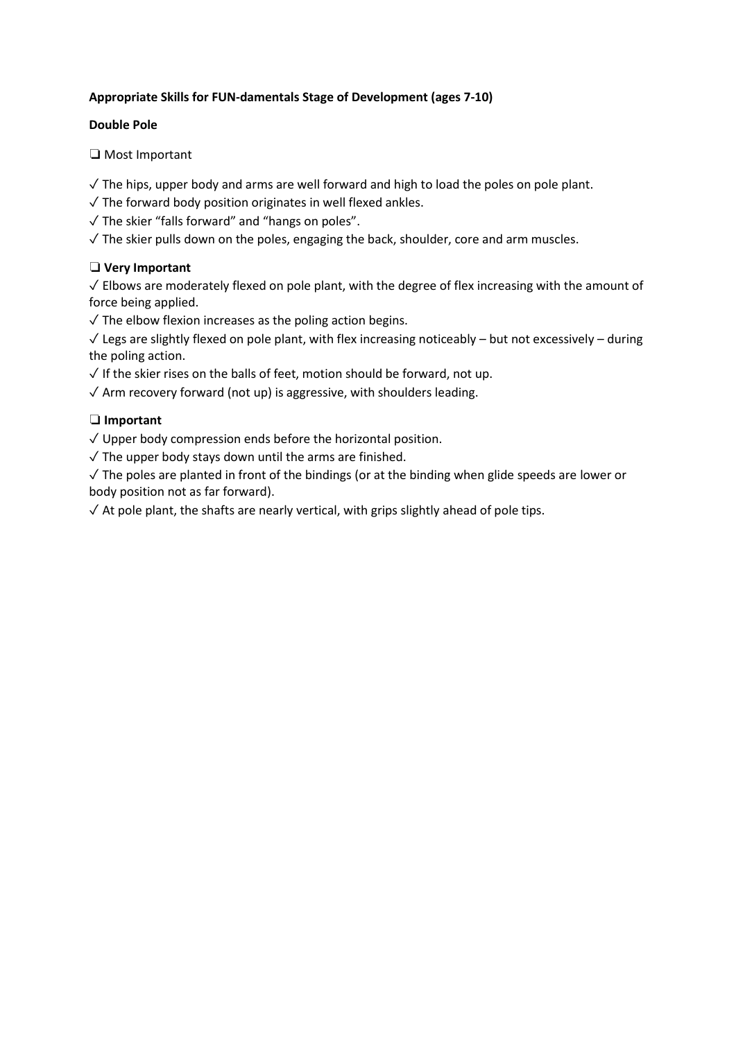# **Appropriate Skills for FUN-damentals Stage of Development (ages 7-10)**

## **Double Pole**

❏ Most Important

✓ The hips, upper body and arms are well forward and high to load the poles on pole plant.

- $\sqrt{\ }$  The forward body position originates in well flexed ankles.
- ✓ The skier "falls forward" and "hangs on poles".
- $\sqrt{ }$  The skier pulls down on the poles, engaging the back, shoulder, core and arm muscles.

# ❏ **Very Important**

 $\sqrt{\ }$  Elbows are moderately flexed on pole plant, with the degree of flex increasing with the amount of force being applied.

 $\sqrt{\ }$  The elbow flexion increases as the poling action begins.

 $\sqrt{\frac{1}{\sqrt{\pi}}}$  Legs are slightly flexed on pole plant, with flex increasing noticeably – but not excessively – during the poling action.

- $\sqrt{ }$  If the skier rises on the balls of feet, motion should be forward, not up.
- $\sqrt{2}$  Arm recovery forward (not up) is aggressive, with shoulders leading.

# ❏ **Important**

✓ Upper body compression ends before the horizontal position.

 $\sqrt{}$  The upper body stays down until the arms are finished.

 $\sqrt{ }$  The poles are planted in front of the bindings (or at the binding when glide speeds are lower or body position not as far forward).

 $\sqrt{\frac{1}{1}}$  At pole plant, the shafts are nearly vertical, with grips slightly ahead of pole tips.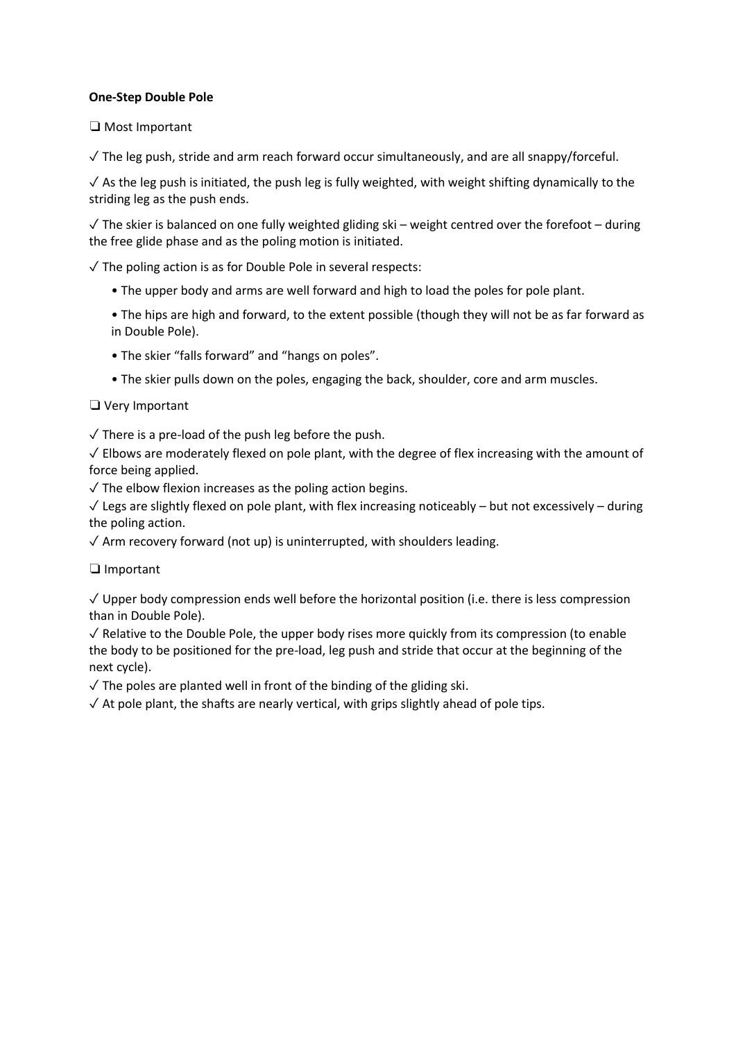### **One-Step Double Pole**

❏ Most Important

 $\sqrt{\ }$  The leg push, stride and arm reach forward occur simultaneously, and are all snappy/forceful.

 $\sqrt{2}$  As the leg push is initiated, the push leg is fully weighted, with weight shifting dynamically to the striding leg as the push ends.

 $\sqrt{\ }$  The skier is balanced on one fully weighted gliding ski – weight centred over the forefoot – during the free glide phase and as the poling motion is initiated.

 $\sqrt{\ }$  The poling action is as for Double Pole in several respects:

- The upper body and arms are well forward and high to load the poles for pole plant.
- The hips are high and forward, to the extent possible (though they will not be as far forward as in Double Pole).
- The skier "falls forward" and "hangs on poles".
- The skier pulls down on the poles, engaging the back, shoulder, core and arm muscles.

## ❏ Very Important

 $\sqrt{\ }$  There is a pre-load of the push leg before the push.

 $\sqrt{\frac{1}{1}}$  Elbows are moderately flexed on pole plant, with the degree of flex increasing with the amount of force being applied.

 $\sqrt{\ }$  The elbow flexion increases as the poling action begins.

✓ Legs are slightly flexed on pole plant, with flex increasing noticeably – but not excessively – during the poling action.

 $\sqrt{2}$  Arm recovery forward (not up) is uninterrupted, with shoulders leading.

❏ Important

 $\sqrt{ }$  Upper body compression ends well before the horizontal position (i.e. there is less compression than in Double Pole).

 $\sqrt{ }$  Relative to the Double Pole, the upper body rises more quickly from its compression (to enable the body to be positioned for the pre-load, leg push and stride that occur at the beginning of the next cycle).

 $\sqrt{\ }$  The poles are planted well in front of the binding of the gliding ski.

 $\sqrt{\frac{1}{1}}$  At pole plant, the shafts are nearly vertical, with grips slightly ahead of pole tips.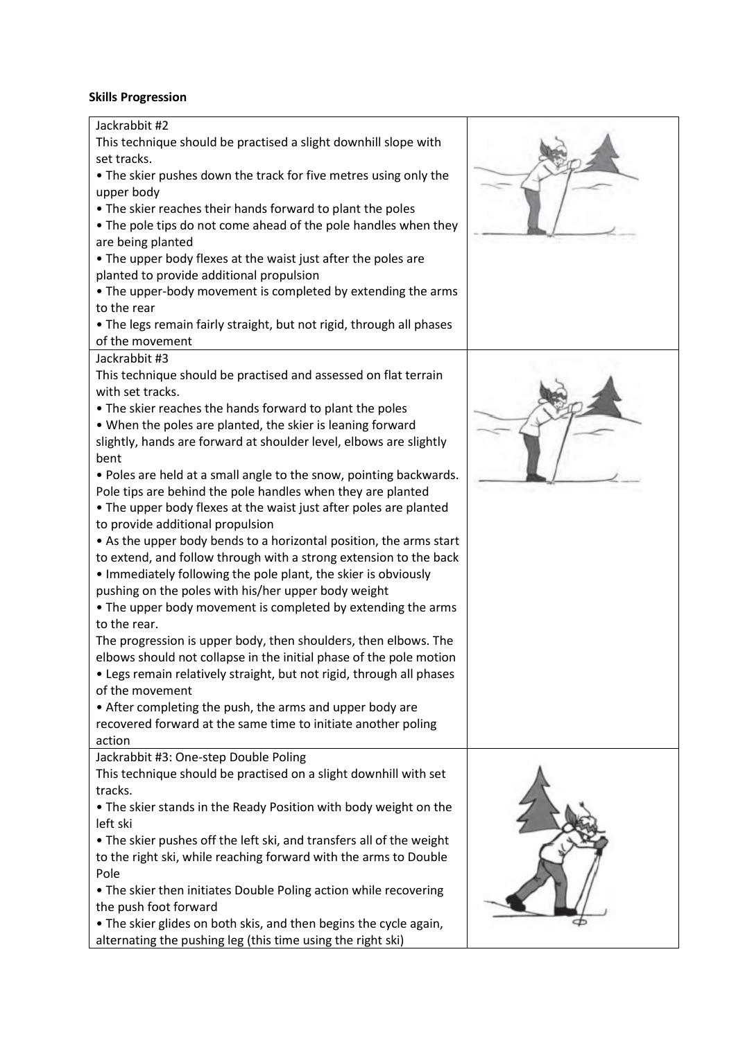#### **Skills Progression**

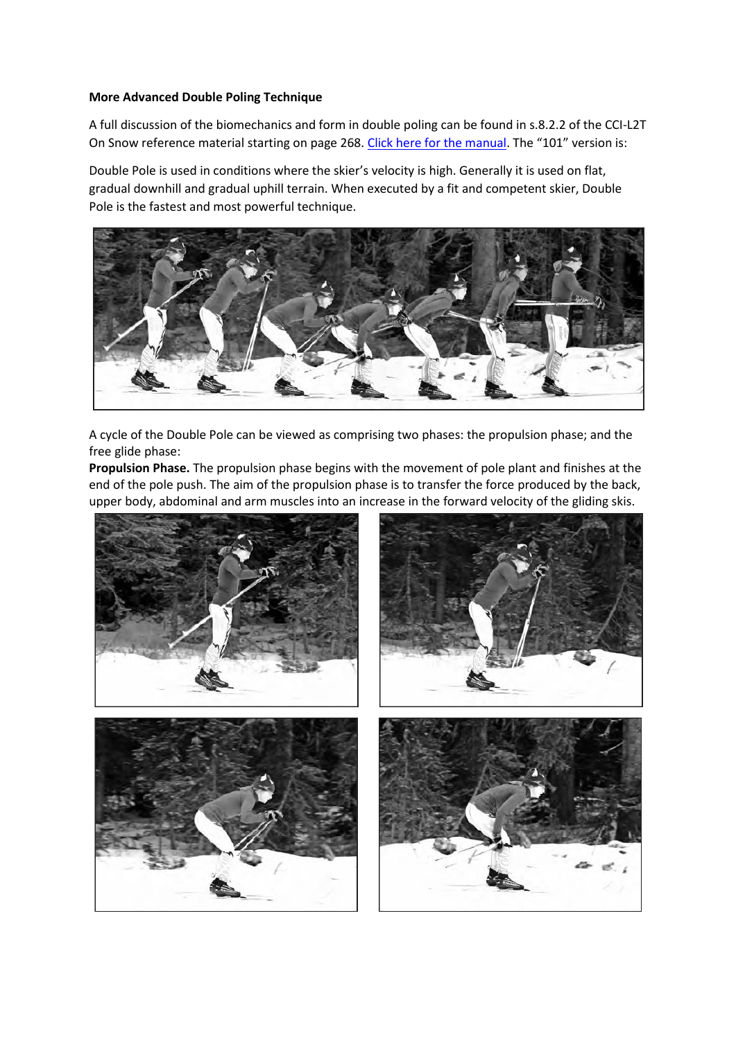#### **More Advanced Double Poling Technique**

A full discussion of the biomechanics and form in double poling can be found in s.8.2.2 of the CCI-L2T On Snow reference material starting on page 268. [Click here for the manual.](http://www.kanatanordic.ca/wp-content/uploads/CCI-L2T-OS-RM-June-10-2014.pdf) The "101" version is:

Double Pole is used in conditions where the skier's velocity is high. Generally it is used on flat, gradual downhill and gradual uphill terrain. When executed by a fit and competent skier, Double Pole is the fastest and most powerful technique.



A cycle of the Double Pole can be viewed as comprising two phases: the propulsion phase; and the free glide phase:

**Propulsion Phase.** The propulsion phase begins with the movement of pole plant and finishes at the end of the pole push. The aim of the propulsion phase is to transfer the force produced by the back, upper body, abdominal and arm muscles into an increase in the forward velocity of the gliding skis.

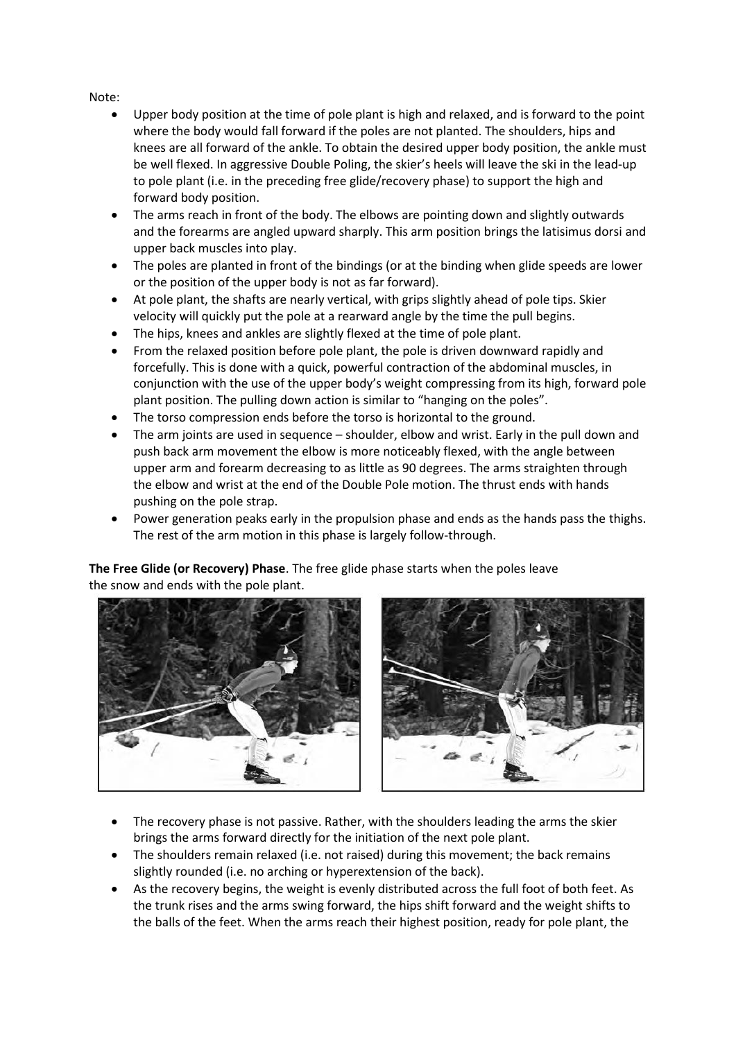### Note:

- Upper body position at the time of pole plant is high and relaxed, and is forward to the point where the body would fall forward if the poles are not planted. The shoulders, hips and knees are all forward of the ankle. To obtain the desired upper body position, the ankle must be well flexed. In aggressive Double Poling, the skier's heels will leave the ski in the lead-up to pole plant (i.e. in the preceding free glide/recovery phase) to support the high and forward body position.
- The arms reach in front of the body. The elbows are pointing down and slightly outwards and the forearms are angled upward sharply. This arm position brings the latisimus dorsi and upper back muscles into play.
- The poles are planted in front of the bindings (or at the binding when glide speeds are lower or the position of the upper body is not as far forward).
- At pole plant, the shafts are nearly vertical, with grips slightly ahead of pole tips. Skier velocity will quickly put the pole at a rearward angle by the time the pull begins.
- The hips, knees and ankles are slightly flexed at the time of pole plant.
- From the relaxed position before pole plant, the pole is driven downward rapidly and forcefully. This is done with a quick, powerful contraction of the abdominal muscles, in conjunction with the use of the upper body's weight compressing from its high, forward pole plant position. The pulling down action is similar to "hanging on the poles".
- The torso compression ends before the torso is horizontal to the ground.
- The arm joints are used in sequence shoulder, elbow and wrist. Early in the pull down and push back arm movement the elbow is more noticeably flexed, with the angle between upper arm and forearm decreasing to as little as 90 degrees. The arms straighten through the elbow and wrist at the end of the Double Pole motion. The thrust ends with hands pushing on the pole strap.
- Power generation peaks early in the propulsion phase and ends as the hands pass the thighs. The rest of the arm motion in this phase is largely follow-through.

**The Free Glide (or Recovery) Phase**. The free glide phase starts when the poles leave the snow and ends with the pole plant.





- The recovery phase is not passive. Rather, with the shoulders leading the arms the skier brings the arms forward directly for the initiation of the next pole plant.
- The shoulders remain relaxed (i.e. not raised) during this movement; the back remains slightly rounded (i.e. no arching or hyperextension of the back).
- As the recovery begins, the weight is evenly distributed across the full foot of both feet. As the trunk rises and the arms swing forward, the hips shift forward and the weight shifts to the balls of the feet. When the arms reach their highest position, ready for pole plant, the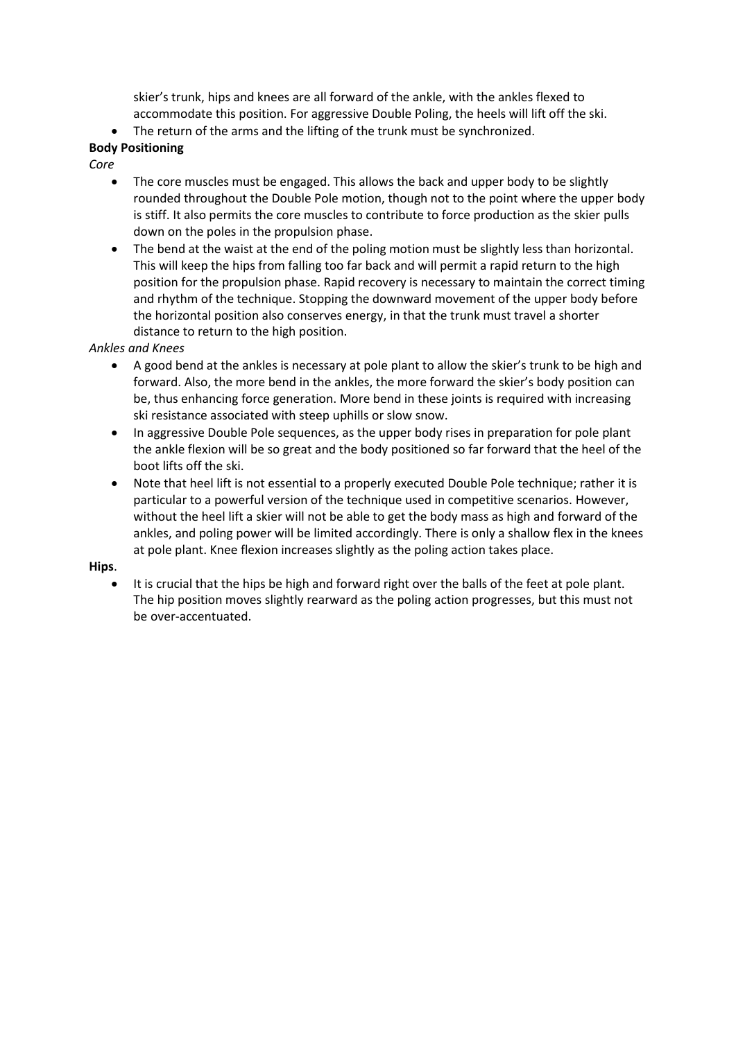skier's trunk, hips and knees are all forward of the ankle, with the ankles flexed to accommodate this position. For aggressive Double Poling, the heels will lift off the ski.

The return of the arms and the lifting of the trunk must be synchronized.

# **Body Positioning**

*Core*

- The core muscles must be engaged. This allows the back and upper body to be slightly rounded throughout the Double Pole motion, though not to the point where the upper body is stiff. It also permits the core muscles to contribute to force production as the skier pulls down on the poles in the propulsion phase.
- The bend at the waist at the end of the poling motion must be slightly less than horizontal. This will keep the hips from falling too far back and will permit a rapid return to the high position for the propulsion phase. Rapid recovery is necessary to maintain the correct timing and rhythm of the technique. Stopping the downward movement of the upper body before the horizontal position also conserves energy, in that the trunk must travel a shorter distance to return to the high position.

## *Ankles and Knees*

- A good bend at the ankles is necessary at pole plant to allow the skier's trunk to be high and forward. Also, the more bend in the ankles, the more forward the skier's body position can be, thus enhancing force generation. More bend in these joints is required with increasing ski resistance associated with steep uphills or slow snow.
- In aggressive Double Pole sequences, as the upper body rises in preparation for pole plant the ankle flexion will be so great and the body positioned so far forward that the heel of the boot lifts off the ski.
- Note that heel lift is not essential to a properly executed Double Pole technique; rather it is particular to a powerful version of the technique used in competitive scenarios. However, without the heel lift a skier will not be able to get the body mass as high and forward of the ankles, and poling power will be limited accordingly. There is only a shallow flex in the knees at pole plant. Knee flexion increases slightly as the poling action takes place.

#### **Hips**.

• It is crucial that the hips be high and forward right over the balls of the feet at pole plant. The hip position moves slightly rearward as the poling action progresses, but this must not be over-accentuated.